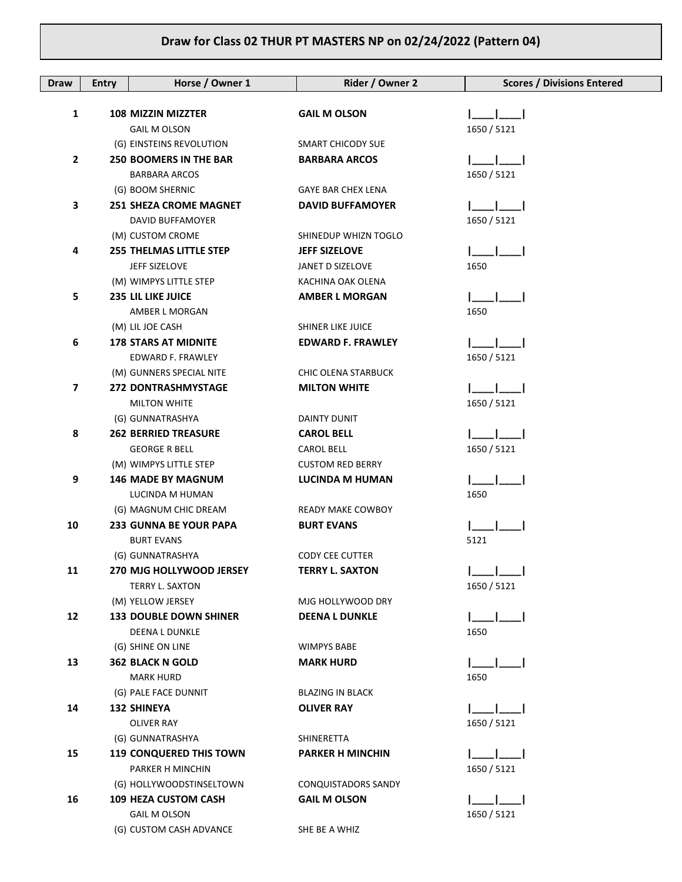## **Draw for Class 02 THUR PT MASTERS NP on 02/24/2022 (Pattern 04)**

| Draw | <b>Entry</b> | Horse / Owner 1                                 | Rider / Owner 2                   | <b>Scores / Divisions Entered</b> |
|------|--------------|-------------------------------------------------|-----------------------------------|-----------------------------------|
|      |              |                                                 |                                   |                                   |
| 1    |              | 108 MIZZIN MIZZTER                              | <b>GAIL M OLSON</b>               |                                   |
|      |              | <b>GAIL M OLSON</b>                             |                                   | 1650 / 5121                       |
|      |              | (G) EINSTEINS REVOLUTION                        | SMART CHICODY SUE                 |                                   |
| 2    |              | <b>250 BOOMERS IN THE BAR</b>                   | <b>BARBARA ARCOS</b>              |                                   |
|      |              | <b>BARBARA ARCOS</b>                            |                                   | 1650 / 5121                       |
|      |              | (G) BOOM SHERNIC                                | <b>GAYE BAR CHEX LENA</b>         |                                   |
| 3    |              | <b>251 SHEZA CROME MAGNET</b>                   | <b>DAVID BUFFAMOYER</b>           |                                   |
|      |              | DAVID BUFFAMOYER                                |                                   | 1650 / 5121                       |
|      |              | (M) CUSTOM CROME                                | SHINEDUP WHIZN TOGLO              |                                   |
| 4    |              | <b>255 THELMAS LITTLE STEP</b>                  | <b>JEFF SIZELOVE</b>              |                                   |
|      |              | JEFF SIZELOVE                                   | JANET D SIZELOVE                  | 1650                              |
|      |              | (M) WIMPYS LITTLE STEP                          | KACHINA OAK OLENA                 |                                   |
| 5    |              | <b>235 LIL LIKE JUICE</b>                       | <b>AMBER L MORGAN</b>             |                                   |
|      |              | AMBER L MORGAN                                  |                                   | 1650                              |
|      |              | (M) LIL JOE CASH                                | <b>SHINER LIKE JUICE</b>          |                                   |
| 6    |              | <b>178 STARS AT MIDNITE</b>                     | <b>EDWARD F. FRAWLEY</b>          |                                   |
|      |              | EDWARD F. FRAWLEY                               |                                   | 1650 / 5121                       |
|      |              | (M) GUNNERS SPECIAL NITE                        | <b>CHIC OLENA STARBUCK</b>        |                                   |
| 7    |              | <b>272 DONTRASHMYSTAGE</b>                      | <b>MILTON WHITE</b>               |                                   |
|      |              | <b>MILTON WHITE</b>                             |                                   | 1650 / 5121                       |
| 8    |              | (G) GUNNATRASHYA<br><b>262 BERRIED TREASURE</b> | DAINTY DUNIT<br><b>CAROL BELL</b> |                                   |
|      |              | <b>GEORGE R BELL</b>                            | <b>CAROL BELL</b>                 | 1650 / 5121                       |
|      |              | (M) WIMPYS LITTLE STEP                          | <b>CUSTOM RED BERRY</b>           |                                   |
| 9    |              | <b>146 MADE BY MAGNUM</b>                       | <b>LUCINDA M HUMAN</b>            |                                   |
|      |              | LUCINDA M HUMAN                                 |                                   | 1650                              |
|      |              | (G) MAGNUM CHIC DREAM                           | <b>READY MAKE COWBOY</b>          |                                   |
| 10   |              | 233 GUNNA BE YOUR PAPA                          | <b>BURT EVANS</b>                 |                                   |
|      |              | <b>BURT EVANS</b>                               |                                   | 5121                              |
|      |              | (G) GUNNATRASHYA                                | <b>CODY CEE CUTTER</b>            |                                   |
| 11   |              | 270 MJG HOLLYWOOD JERSEY                        | <b>TERRY L. SAXTON</b>            |                                   |
|      |              | TERRY L. SAXTON                                 |                                   | 1650 / 5121                       |
|      |              | (M) YELLOW JERSEY                               | MJG HOLLYWOOD DRY                 |                                   |
| 12   |              | <b>133 DOUBLE DOWN SHINER</b>                   | <b>DEENA L DUNKLE</b>             |                                   |
|      |              | <b>DEENA L DUNKLE</b>                           |                                   | 1650                              |
|      |              | (G) SHINE ON LINE                               | <b>WIMPYS BABE</b>                |                                   |
| 13   |              | <b>362 BLACK N GOLD</b>                         | <b>MARK HURD</b>                  |                                   |
|      |              | <b>MARK HURD</b>                                |                                   | 1650                              |
|      |              | (G) PALE FACE DUNNIT                            | <b>BLAZING IN BLACK</b>           |                                   |
| 14   |              | <b>132 SHINEYA</b>                              | <b>OLIVER RAY</b>                 |                                   |
|      |              | <b>OLIVER RAY</b>                               |                                   | 1650 / 5121                       |
|      |              | (G) GUNNATRASHYA                                | SHINERETTA                        |                                   |
| 15   |              | <b>119 CONQUERED THIS TOWN</b>                  | <b>PARKER H MINCHIN</b>           |                                   |
|      |              | PARKER H MINCHIN                                |                                   | 1650 / 5121                       |
|      |              | (G) HOLLYWOODSTINSELTOWN                        | CONQUISTADORS SANDY               |                                   |
| 16   |              | <b>109 HEZA CUSTOM CASH</b>                     | <b>GAIL M OLSON</b>               |                                   |
|      |              | <b>GAIL M OLSON</b>                             |                                   | 1650 / 5121                       |
|      |              | (G) CUSTOM CASH ADVANCE                         | SHE BE A WHIZ                     |                                   |